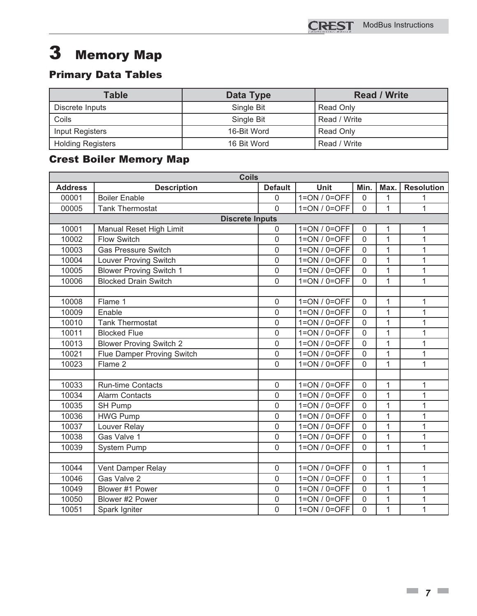# Primary Data Tables **2 Memory Memory**<br>2 Primary Data Tables

| <b>Table</b>             | Data Type   | <b>Read / Write</b> |
|--------------------------|-------------|---------------------|
| Discrete Inputs          | Single Bit  | Read Only           |
| Coils                    | Single Bit  | Read / Write        |
| <b>Input Registers</b>   | 16-Bit Word | Read Only           |
| <b>Holding Registers</b> | 16 Bit Word | Read / Write        |

## Crest Boiler Memory Map

| <b>Coils</b>   |                                |                  |                |                |                |                   |  |  |
|----------------|--------------------------------|------------------|----------------|----------------|----------------|-------------------|--|--|
| <b>Address</b> | <b>Description</b>             | <b>Default</b>   | <b>Unit</b>    | Min.           | Max.           | <b>Resolution</b> |  |  |
| 00001          | <b>Boiler Enable</b>           | $\mathbf 0$      | $1=ON/0=OFF$   | $\overline{0}$ | 1              | 1                 |  |  |
| 00005          | <b>Tank Thermostat</b>         | $\Omega$         | $1=ON/0=OFF$   | $\overline{0}$ | $\mathbf{1}$   | $\mathbf{1}$      |  |  |
|                | <b>Discrete Inputs</b>         |                  |                |                |                |                   |  |  |
| 10001          | Manual Reset High Limit        | $\mathbf 0$      | $1=ON/0=OFF$   | 0              | 1              | 1                 |  |  |
| 10002          | <b>Flow Switch</b>             | $\mathbf 0$      | $1=ON/0=OFF$   | $\overline{0}$ | $\mathbf{1}$   | 1                 |  |  |
| 10003          | <b>Gas Pressure Switch</b>     | $\mathbf 0$      | $1=ON/0=OFF$   | $\overline{0}$ | $\overline{1}$ | 1                 |  |  |
| 10004          | <b>Louver Proving Switch</b>   | $\mathbf 0$      | $1=ON/0=OFF$   | 0              | 1              | 1                 |  |  |
| 10005          | <b>Blower Proving Switch 1</b> | $\mathbf 0$      | $1=ON / 0=OFF$ | $\overline{0}$ | $\mathbf{1}$   | 1                 |  |  |
| 10006          | <b>Blocked Drain Switch</b>    | $\Omega$         | $1=ON/0=OFF$   | 0              | $\mathbf{1}$   | 1                 |  |  |
|                |                                |                  |                |                |                |                   |  |  |
| 10008          | Flame 1                        | $\mathbf 0$      | $1=ON/0=OFF$   | $\mathbf{0}$   | 1              | 1                 |  |  |
| 10009          | Enable                         | $\overline{0}$   | $1=ON / 0=OFF$ | $\overline{0}$ | $\mathbf{1}$   | $\overline{1}$    |  |  |
| 10010          | <b>Tank Thermostat</b>         | $\overline{0}$   | $1=ON/0=OFF$   | $\overline{0}$ | $\mathbf{1}$   | 1                 |  |  |
| 10011          | <b>Blocked Flue</b>            | $\overline{0}$   | $1=ON/0=OFF$   | $\overline{0}$ | $\overline{1}$ | $\overline{1}$    |  |  |
| 10013          | <b>Blower Proving Switch 2</b> | $\overline{0}$   | $1=ON/0=OFF$   | $\overline{0}$ | 1              | 1                 |  |  |
| 10021          | Flue Damper Proving Switch     | $\overline{0}$   | $1=ON / 0=OFF$ | $\overline{0}$ | $\mathbf{1}$   | 1                 |  |  |
| 10023          | Flame 2                        | $\overline{0}$   | $1=ON/0=OFF$   | 0              | $\mathbf{1}$   | $\overline{1}$    |  |  |
|                |                                |                  |                |                |                |                   |  |  |
| 10033          | <b>Run-time Contacts</b>       | $\boldsymbol{0}$ | $1=ON/0=OFF$   | $\mathsf 0$    | 1              | 1                 |  |  |
| 10034          | <b>Alarm Contacts</b>          | $\overline{0}$   | $1=ON/0=OFF$   | $\overline{0}$ | $\mathbf{1}$   | 1                 |  |  |
| 10035          | SH Pump                        | $\mathbf 0$      | $1=ON/0=OFF$   | $\overline{0}$ | $\mathbf{1}$   | 1                 |  |  |
| 10036          | <b>HWG Pump</b>                | $\mathbf 0$      | $1=ON/0=OFF$   | 0              | 1              | 1                 |  |  |
| 10037          | Louver Relay                   | $\mathbf 0$      | $1=ON/0=OFF$   | $\overline{0}$ | $\mathbf{1}$   | 1                 |  |  |
| 10038          | Gas Valve 1                    | $\overline{0}$   | $1=ON/0=OFF$   | $\overline{0}$ | $\mathbf{1}$   | 1                 |  |  |
| 10039          | <b>System Pump</b>             | $\overline{0}$   | $1=ON/0=OFF$   | $\overline{0}$ | $\mathbf{1}$   | $\overline{1}$    |  |  |
|                |                                |                  |                |                |                |                   |  |  |
| 10044          | Vent Damper Relay              | $\mathbf 0$      | $1=ON / 0=OFF$ | $\overline{0}$ | $\mathbf{1}$   | 1                 |  |  |
| 10046          | Gas Valve 2                    | $\mathbf 0$      | $1=ON/0=OFF$   | $\overline{0}$ | $\mathbf{1}$   | 1                 |  |  |
| 10049          | Blower #1 Power                | $\overline{0}$   | $1=ON/0=OFF$   | $\overline{0}$ | $\mathbf{1}$   | $\overline{1}$    |  |  |
| 10050          | Blower #2 Power                | $\overline{0}$   | $1=ON / 0=OFF$ | 0              | 1              | 1                 |  |  |
| 10051          | Spark Igniter                  | $\overline{0}$   | $1=ON/0=OFF$   | $\overline{0}$ | 1              | 1                 |  |  |